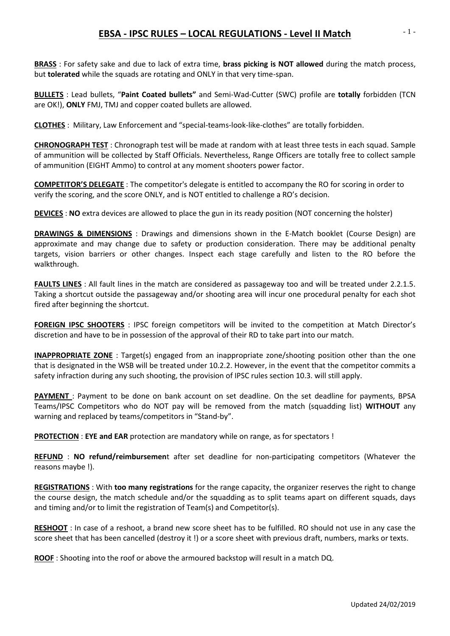## **EBSA - IPSC RULES – LOCAL REGULATIONS - Level II Match**

**BRASS** : For safety sake and due to lack of extra time, **brass picking is NOT allowed** during the match process, but **tolerated** while the squads are rotating and ONLY in that very time-span.

**BULLETS** : Lead bullets, "**Paint Coated bullets"** and Semi-Wad-Cutter (SWC) profile are **totally** forbidden (TCN are OK!), **ONLY** FMJ, TMJ and copper coated bullets are allowed.

**CLOTHES** : Military, Law Enforcement and "special-teams-look-like-clothes" are totally forbidden.

**CHRONOGRAPH TEST** : Chronograph test will be made at random with at least three tests in each squad. Sample of ammunition will be collected by Staff Officials. Nevertheless, Range Officers are totally free to collect sample of ammunition (EIGHT Ammo) to control at any moment shooters power factor.

**COMPETITOR'S DELEGATE** : The competitor's delegate is entitled to accompany the RO for scoring in order to verify the scoring, and the score ONLY, and is NOT entitled to challenge a RO's decision.

**DEVICES** : **NO** extra devices are allowed to place the gun in its ready position (NOT concerning the holster)

**DRAWINGS & DIMENSIONS** : Drawings and dimensions shown in the E-Match booklet (Course Design) are approximate and may change due to safety or production consideration. There may be additional penalty targets, vision barriers or other changes. Inspect each stage carefully and listen to the RO before the walkthrough.

**FAULTS LINES** : All fault lines in the match are considered as passageway too and will be treated under 2.2.1.5. Taking a shortcut outside the passageway and/or shooting area will incur one procedural penalty for each shot fired after beginning the shortcut.

**FOREIGN IPSC SHOOTERS** : IPSC foreign competitors will be invited to the competition at Match Director's discretion and have to be in possession of the approval of their RD to take part into our match.

**INAPPROPRIATE ZONE** : Target(s) engaged from an inappropriate zone/shooting position other than the one that is designated in the WSB will be treated under 10.2.2. However, in the event that the competitor commits a safety infraction during any such shooting, the provision of IPSC rules section 10.3. will still apply.

**PAYMENT** : Payment to be done on bank account on set deadline. On the set deadline for payments, BPSA Teams/IPSC Competitors who do NOT pay will be removed from the match (squadding list) **WITHOUT** any warning and replaced by teams/competitors in "Stand-by".

**PROTECTION** : **EYE and EAR** protection are mandatory while on range, as for spectators !

**REFUND** : **NO refund/reimbursemen**t after set deadline for non-participating competitors (Whatever the reasons maybe !).

**REGISTRATIONS** : With **too many registrations** for the range capacity, the organizer reserves the right to change the course design, the match schedule and/or the squadding as to split teams apart on different squads, days and timing and/or to limit the registration of Team(s) and Competitor(s).

**RESHOOT** : In case of a reshoot, a brand new score sheet has to be fulfilled. RO should not use in any case the score sheet that has been cancelled (destroy it !) or a score sheet with previous draft, numbers, marks or texts.

**ROOF** : Shooting into the roof or above the armoured backstop will result in a match DQ.